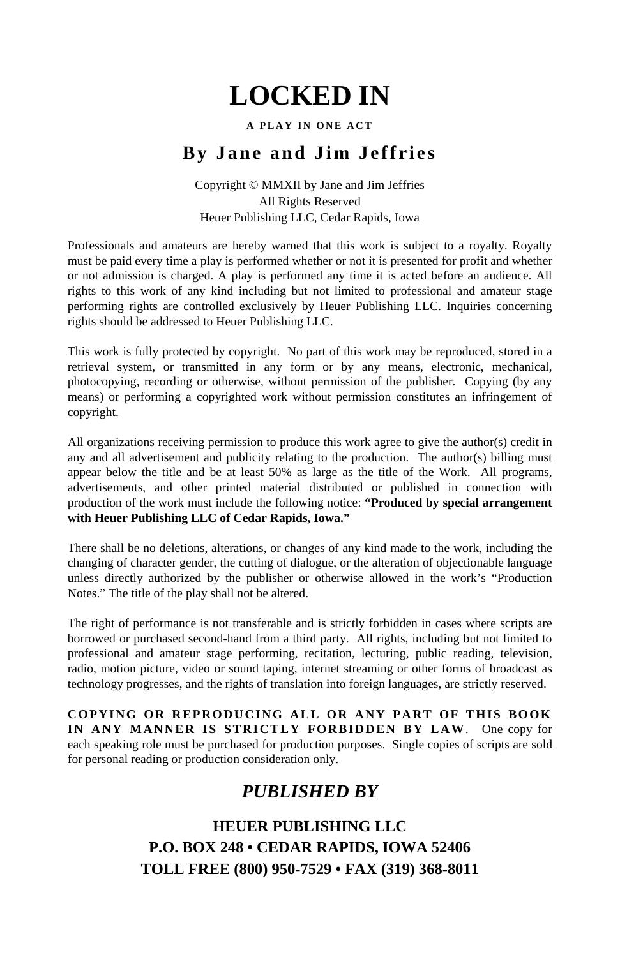#### **A PLAY IN ONE ACT**

# **By Jane and Jim Jeffries**

Copyright © MMXII by Jane and Jim Jeffries All Rights Reserved Heuer Publishing LLC, Cedar Rapids, Iowa

Professionals and amateurs are hereby warned that this work is subject to a royalty. Royalty must be paid every time a play is performed whether or not it is presented for profit and whether or not admission is charged. A play is performed any time it is acted before an audience. All rights to this work of any kind including but not limited to professional and amateur stage performing rights are controlled exclusively by Heuer Publishing LLC. Inquiries concerning rights should be addressed to Heuer Publishing LLC.

This work is fully protected by copyright. No part of this work may be reproduced, stored in a retrieval system, or transmitted in any form or by any means, electronic, mechanical, photocopying, recording or otherwise, without permission of the publisher. Copying (by any means) or performing a copyrighted work without permission constitutes an infringement of copyright.

All organizations receiving permission to produce this work agree to give the author(s) credit in any and all advertisement and publicity relating to the production. The author(s) billing must appear below the title and be at least 50% as large as the title of the Work. All programs, advertisements, and other printed material distributed or published in connection with production of the work must include the following notice: **"Produced by special arrangement with Heuer Publishing LLC of Cedar Rapids, Iowa."**

There shall be no deletions, alterations, or changes of any kind made to the work, including the changing of character gender, the cutting of dialogue, or the alteration of objectionable language unless directly authorized by the publisher or otherwise allowed in the work's "Production Notes." The title of the play shall not be altered.

The right of performance is not transferable and is strictly forbidden in cases where scripts are borrowed or purchased second-hand from a third party. All rights, including but not limited to professional and amateur stage performing, recitation, lecturing, public reading, television, radio, motion picture, video or sound taping, internet streaming or other forms of broadcast as technology progresses, and the rights of translation into foreign languages, are strictly reserved.

**COPYING OR REPRODUCING ALL OR ANY PART OF THIS BOOK IN ANY MANNER IS STRICTLY FORBIDDEN BY LAW**. One copy for each speaking role must be purchased for production purposes. Single copies of scripts are sold for personal reading or production consideration only.

### *PUBLISHED BY*

# **HEUER PUBLISHING LLC P.O. BOX 248 • CEDAR RAPIDS, IOWA 52406 TOLL FREE (800) 950-7529 • FAX (319) 368-8011**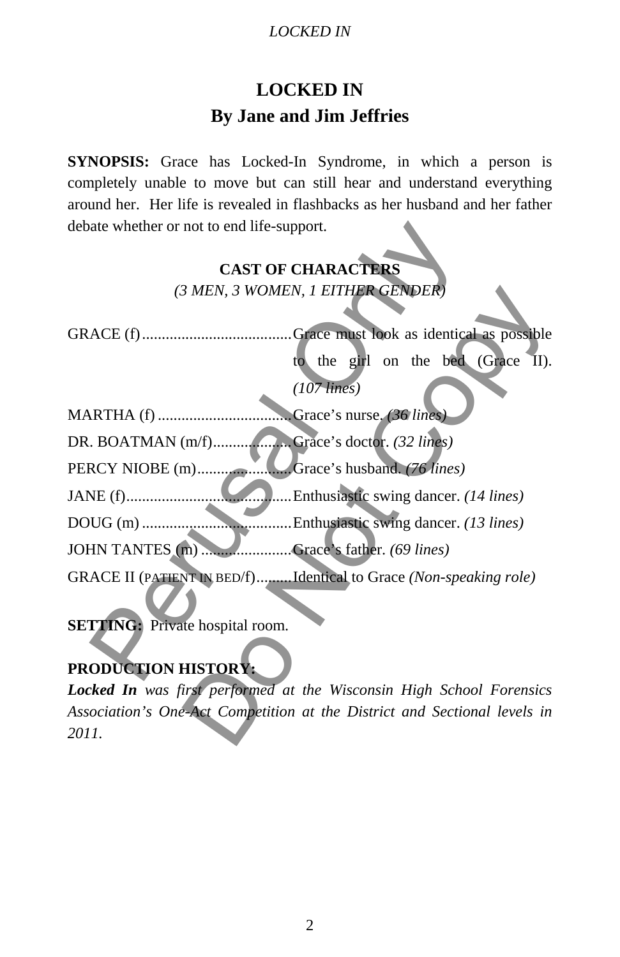# **LOCKED IN By Jane and Jim Jeffries**

**SYNOPSIS:** Grace has Locked-In Syndrome, in which a person is completely unable to move but can still hear and understand everything around her. Her life is revealed in flashbacks as her husband and her father debate whether or not to end life-support.

| debate whether or not to end life-support.                                |
|---------------------------------------------------------------------------|
| <b>CAST OF CHARACTERS</b>                                                 |
| (3 MEN, 3 WOMEN, 1 EITHER GENDER)                                         |
|                                                                           |
|                                                                           |
| to the girl on the bed (Grace II).                                        |
| $(107$ lines)                                                             |
|                                                                           |
| DR. BOATMAN (m/f)Grace's doctor. (32 lines)                               |
| Grace's husband. (76 lines)                                               |
| Enthusiastic swing dancer. (14 lines)                                     |
| Enthusiastic swing dancer. (13 lines)                                     |
| JOHN TANTES (m)  Grace's father. (69 lines)                               |
| GRACE II (PATIENT IN BED/f)Identical to Grace (Non-speaking role)         |
|                                                                           |
| <b>SETTING:</b> Private hospital room.                                    |
|                                                                           |
| PRODUCTION HISTORY:                                                       |
| Locked In was first performed at the Wisconsin High School Forensics      |
| Association's One-Act Competition at the District and Sectional levels in |
| 2011.                                                                     |

# **PRODUCTION HISTORY:**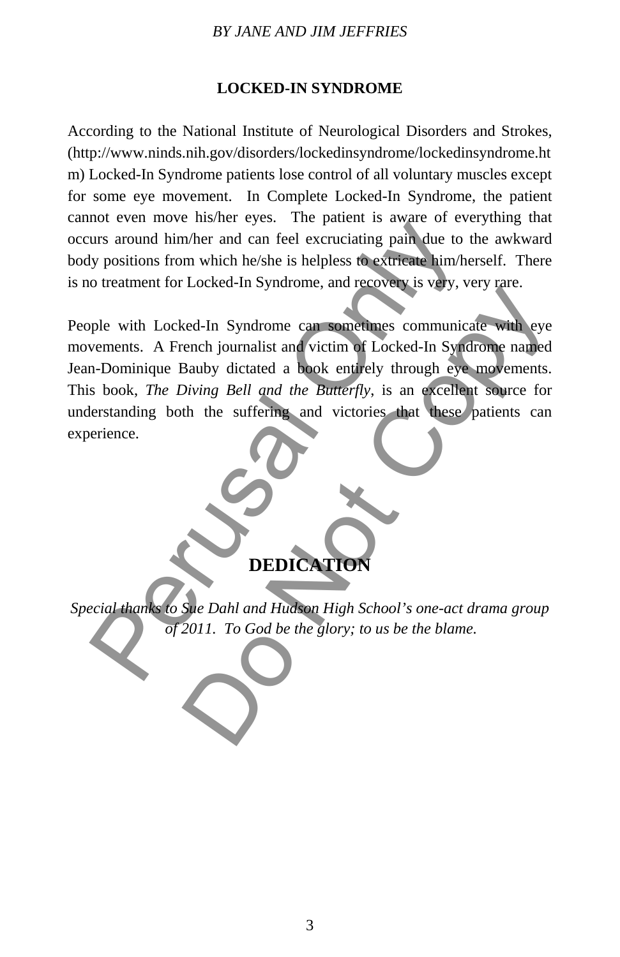#### *BY JANE AND JIM JEFFRIES*

#### **LOCKED-IN SYNDROME**

According to the National Institute of Neurological Disorders and Strokes, (http://www.ninds.nih.gov/disorders/lockedinsyndrome/lockedinsyndrome.ht m) Locked-In Syndrome patients lose control of all voluntary muscles except for some eye movement. In Complete Locked-In Syndrome, the patient cannot even move his/her eyes. The patient is aware of everything that occurs around him/her and can feel excruciating pain due to the awkward body positions from which he/she is helpless to extricate him/herself. There is no treatment for Locked-In Syndrome, and recovery is very, very rare.

People with Locked-In Syndrome can sometimes communicate with eye movements. A French journalist and victim of Locked-In Syndrome named Jean-Dominique Bauby dictated a book entirely through eye movements. This book, *The Diving Bell and the Butterfly*, is an excellent source for understanding both the suffering and victories that these patients can experience. The two matter which the simulation of the state of the blame.<br>The content and the simulation of the state of the state of the state of the state of the state of the state of<br>the visitions from which he/she is helpless to Escala Hisynarome, and Conserver to 1937, 1933 Max.<br>
Red-In Syndrome can sometimes communicate with eye<br>
rench journalist and victim of Locked-In Syndrome named<br>
Bauby dictated a book entirely through eye movements.<br>
Divin



*Special thanks to Sue Dahl and Hudson High School's one-act drama group of 2011. To God be the glory; to us be the blame.*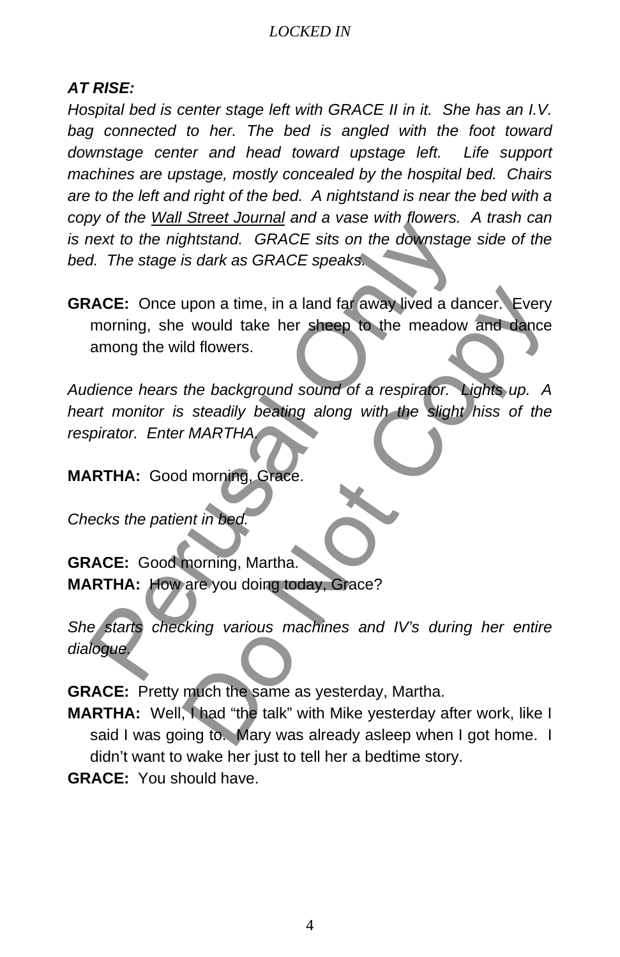# *AT RISE:*

*Hospital bed is center stage left with GRACE II in it. She has an I.V.*  bag connected to her. The bed is angled with the foot toward *downstage center and head toward upstage left. Life support machines are upstage, mostly concealed by the hospital bed. Chairs are to the left and right of the bed. A nightstand is near the bed with a copy of the Wall Street Journal and a vase with flowers. A trash can is next to the nightstand. GRACE sits on the downstage side of the bed. The stage is dark as GRACE speaks.*

**GRACE:** Once upon a time, in a land far away lived a dancer. Every morning, she would take her sheep to the meadow and dance among the wild flowers. For the *nightstand.* GRACE sits on the downstage<br>thext to the nightstand. GRACE sits on the downstage<br>d. The stage is dark as GRACE speaks.<br>ACE: Once upon a time, in a land far away lived a dar<br>morning, she would take her upon a time, in a land far away lived a dancer. Every<br>
it would take her sheep to the meadow and dance<br>
id flowers.<br>
the background sound of a respirator. Lights up. A<br>
is steadily beating along with the slight hiss of the

*Audience hears the background sound of a respirator. Lights up. A heart monitor is steadily beating along with the slight hiss of the respirator. Enter MARTHA.*

**MARTHA:** Good morning, Grace.

*Checks the patient in bed.*

**GRACE:** Good morning, Martha. **MARTHA:** How are you doing today, Grace?

*She starts checking various machines and IV's during her entire dialogue.*

**GRACE:** Pretty much the same as yesterday, Martha.

- **MARTHA:** Well, I had "the talk" with Mike yesterday after work, like I said I was going to. Mary was already asleep when I got home. I didn't want to wake her just to tell her a bedtime story.
- **GRACE:** You should have.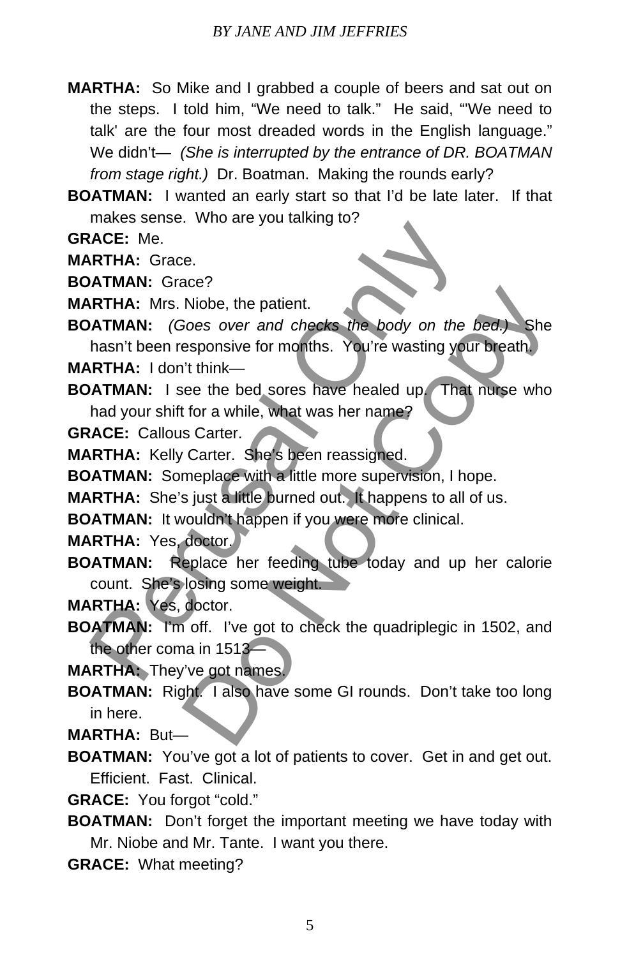- **MARTHA:** So Mike and I grabbed a couple of beers and sat out on the steps. I told him, "We need to talk." He said, "'We need to talk' are the four most dreaded words in the English language." We didn't— *(She is interrupted by the entrance of DR. BOATMAN from stage right.)* Dr. Boatman. Making the rounds early?
- **BOATMAN:** I wanted an early start so that I'd be late later. If that makes sense. Who are you talking to?

**GRACE:** Me.

**MARTHA:** Grace.

**BOATMAN:** Grace?

**MARTHA:** Mrs. Niobe, the patient.

**BOATMAN:** *(Goes over and checks the body on the bed.)* She hasn't been responsive for months. You're wasting your breath. **MARTHA:** I don't think— Macrosofton: Media Control of the particle of the CRI ARTHA: Grace:<br>
ACE: Me.<br>
ATMAN: Grace?<br>
ATMAN: (Goes over and checks the body on the<br>
hasn't been responsive for months. You're wasting you<br>
RTHA: I don't think—<br>
ATMAN Niobe, the patient.<br>
Niobe, the patient.<br>
Niobe, the patient.<br>
Soes over and checks the body on the bed.) She<br>
esponsive for months. You're wasting your breath.<br>
I't think—<br>
iee the bed sores have healed up That nurse who<br>

**BOATMAN:** I see the bed sores have healed up. That nurse who had your shift for a while, what was her name?

**GRACE:** Callous Carter.

- **MARTHA:** Kelly Carter. She's been reassigned.
- **BOATMAN:** Someplace with a little more supervision, I hope.
- **MARTHA:** She's just a little burned out. It happens to all of us.

**BOATMAN:** It wouldn't happen if you were more clinical.

**MARTHA:** Yes, doctor.

- **BOATMAN:** Replace her feeding tube today and up her calorie count. She's losing some weight.
- **MARTHA:** Yes, doctor.
- **BOATMAN:** I'm off. I've got to check the quadriplegic in 1502, and the other coma in 1513—

**MARTHA:** They've got names.

**BOATMAN:** Right. I also have some GI rounds. Don't take too long in here.

**MARTHA:** But—

- **BOATMAN:** You've got a lot of patients to cover. Get in and get out. Efficient. Fast. Clinical.
- **GRACE:** You forgot "cold."
- **BOATMAN:** Don't forget the important meeting we have today with Mr. Niobe and Mr. Tante. I want you there.
- **GRACE:** What meeting?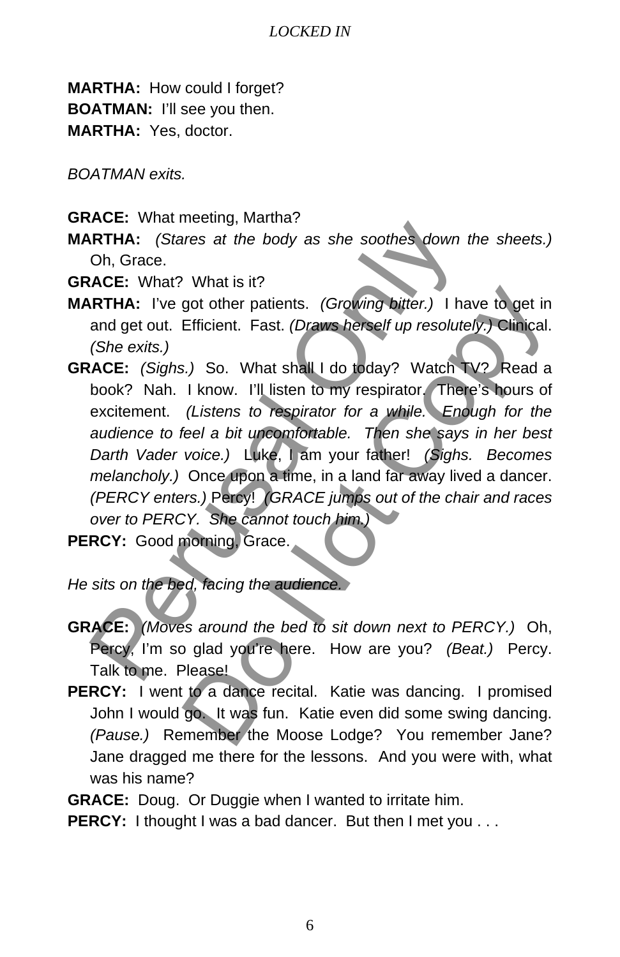**MARTHA:** How could I forget? **BOATMAN:** I'll see you then. **MARTHA:** Yes, doctor.

*BOATMAN exits.*

- **GRACE:** What meeting, Martha?
- **MARTHA:** *(Stares at the body as she soothes down the sheets.)* Oh, Grace.

**GRACE:** What? What is it?

- **MARTHA:** I've got other patients. *(Growing bitter.)* I have to get in and get out. Efficient. Fast. *(Draws herself up resolutely.)* Clinical. *(She exits.)*
- **GRACE:** *(Sighs.)* So. What shall I do today? Watch TV? Read a book? Nah. I know. I'll listen to my respirator. There's hours of excitement. *(Listens to respirator for a while. Enough for the audience to feel a bit uncomfortable. Then she says in her best Darth Vader voice.)* Luke, I am your father! *(Sighs. Becomes melancholy.)* Once upon a time, in a land far away lived a dancer. *(PERCY enters.)* Percy! *(GRACE jumps out of the chair and races over to PERCY. She cannot touch him.)* PERCY: Good morning, Grace. **EXECT:** Wat incoming, interioring the body as she soothes down to Oh, Grace.<br> **ARTHA:** (*Stares at the body as she soothes down to* Oh, Grace.<br> **ACE:** What? What is it?<br> **ARTHA:** I've got other patients. (*Growing bitter.* or other patients. (Growing bitter.) I have to get in<br>Efficient. Fast. (Draws herself up resolutely.) Clinical.<br>S.) So. What shall I do today? Watch TV? Read a<br>I know. I'll listen to my respirator. There's hours of<br>(Listen

*He sits on the bed, facing the audience.*

- **GRACE:** *(Moves around the bed to sit down next to PERCY.)* Oh, Percy, I'm so glad you're here. How are you? *(Beat.)* Percy. Talk to me. Please!
- PERCY: I went to a dance recital. Katie was dancing. I promised John I would go. It was fun. Katie even did some swing dancing. *(Pause.)* Remember the Moose Lodge? You remember Jane? Jane dragged me there for the lessons. And you were with, what was his name?
- **GRACE:** Doug. Or Duggie when I wanted to irritate him.
- **PERCY:** I thought I was a bad dancer. But then I met you . . .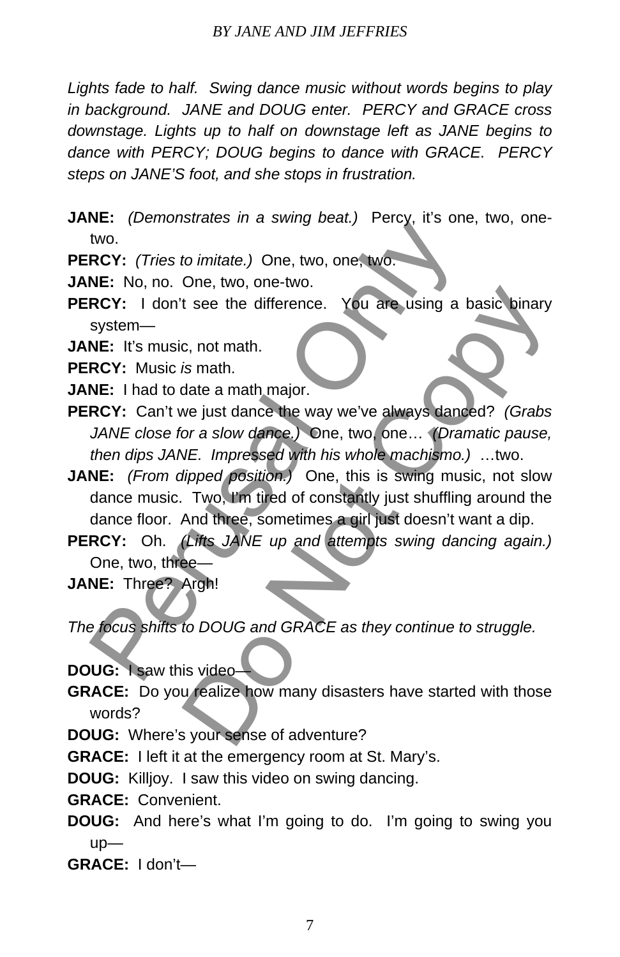*Lights fade to half. Swing dance music without words begins to play in background. JANE and DOUG enter. PERCY and GRACE cross downstage. Lights up to half on downstage left as JANE begins to dance with PERCY; DOUG begins to dance with GRACE. PERCY steps on JANE'S foot, and she stops in frustration.*

**JANE:** *(Demonstrates in a swing beat.)* Percy, it's one, two, onetwo.

**PERCY:** *(Tries to imitate.)* One, two, one, two.

**JANE:** No, no. One, two, one-two.

**PERCY:** I don't see the difference. You are using a basic binary system—

**JANE:** It's music, not math.

**PERCY:** Music *is* math.

- **JANE:** I had to date a math major.
- **PERCY:** Can't we just dance the way we've always danced? *(Grabs JANE close for a slow dance.)* One, two, one… *(Dramatic pause, then dips JANE. Impressed with his whole machismo.)* …two.
- **JANE:** *(From dipped position.)* One, this is swing music, not slow dance music. Two, I'm tired of constantly just shuffling around the dance floor. And three, sometimes a girl just doesn't want a dip. Net: (Tries to imitate.) One, two, one, two chief two<br>two.<br>
Net: No, no. One, two, one-two.<br>
NE: No, no. One, two, one-two.<br>
NE: No, no. One, two, one-two.<br>
RCY: I don't see the difference. You are using a b<br>
system—<br>
NE: be the difference. You are using a basic binary<br>
c, not math.<br>
is math.<br>
is math.<br>
is math major.<br>
we just dance the way we've always danced? (Grabs<br>
or a slow dance.) One, two, one... (Dramatic pause,<br>
NE. Impressed with
- **PERCY:** Oh. *(Lifts JANE up and attempts swing dancing again.)* One, two, three—
- **JANE:** Three? Argh!

*The focus shifts to DOUG and GRACE as they continue to struggle.*

**DOUG:** I saw this video—

**GRACE:** Do you realize how many disasters have started with those words?

**DOUG:** Where's your sense of adventure?

**GRACE:** I left it at the emergency room at St. Mary's.

**DOUG:** Killjoy. I saw this video on swing dancing.

**GRACE:** Convenient.

**DOUG:** And here's what I'm going to do. I'm going to swing you up—

**GRACE:** I don't—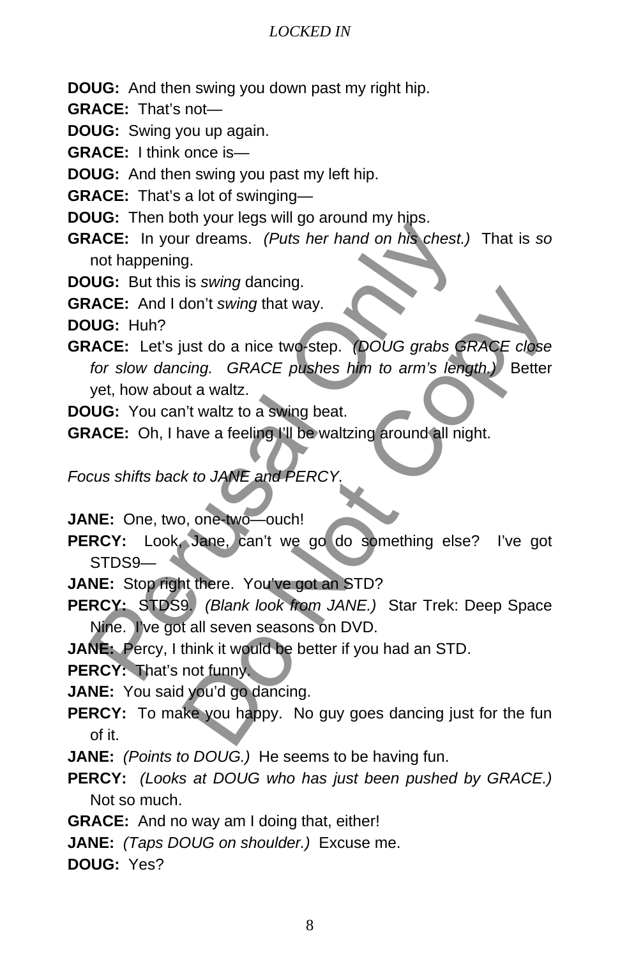- **DOUG:** And then swing you down past my right hip.
- **GRACE:** That's not—
- **DOUG:** Swing you up again.
- **GRACE:** I think once is—
- **DOUG:** And then swing you past my left hip.
- **GRACE:** That's a lot of swinging—
- **DOUG:** Then both your legs will go around my hips.
- **GRACE:** In your dreams. *(Puts her hand on his chest.)* That is *so* not happening.
- **DOUG:** But this is *swing* dancing.
- **GRACE:** And I don't *swing* that way.

**DOUG:** Huh?

- **GRACE:** Let's just do a nice two-step. *(DOUG grabs GRACE close for slow dancing. GRACE pushes him to arm's length.)* Better yet, how about a waltz. Solution of the seasons of DVD.<br>
ACE: In your dreams. (Puts her hand on his chest.)<br>
not happening.<br>
UG: But this is swing dancing.<br>
LGE: And I don't swing that way.<br>
UG: Huh?<br>
ACE: Let's just do a nice two-step. (DOUG gra The Unit of the two-step. (DOUG grabs GRACE close<br>
ting. GRACE pushes him to arm's length.) Better<br>
tit a waltz.<br>
It waltz to a swing beat.<br>
The waltz of the waltzing around all night.<br>
At to JANE and PERCY.<br>
Done two coun
- **DOUG:** You can't waltz to a swing beat.
- **GRACE:** Oh, I have a feeling I'll be waltzing around all night.

*Focus shifts back to JANE and PERCY.*

- **JANE:** One, two, one-two—ouch!
- **PERCY:** Look, Jane, can't we go do something else? I've got STDS9—
- **JANE:** Stop right there. You've got an STD?
- **PERCY:** STDS9. *(Blank look from JANE.)* Star Trek: Deep Space Nine. I've got all seven seasons on DVD.
- **JANE:** Percy, I think it would be better if you had an STD.

**PERCY:** That's not funny.

- **JANE:** You said you'd go dancing.
- **PERCY:** To make you happy. No guy goes dancing just for the fun of it.
- **JANE:** *(Points to DOUG.)* He seems to be having fun.
- **PERCY:** *(Looks at DOUG who has just been pushed by GRACE.)* Not so much.
- **GRACE:** And no way am I doing that, either!
- **JANE:** *(Taps DOUG on shoulder.)* Excuse me.
- **DOUG:** Yes?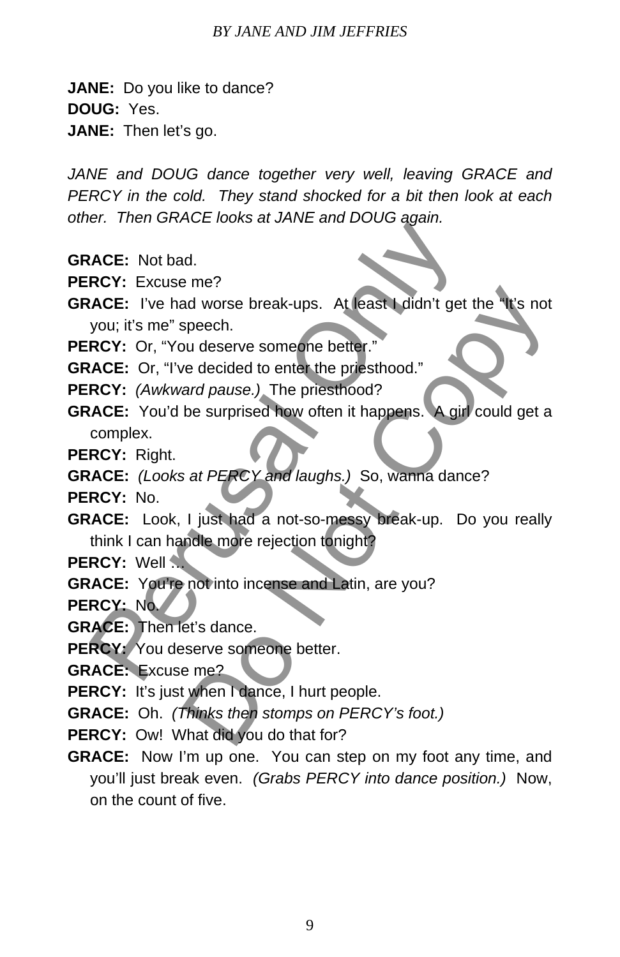#### *BY JANE AND JIM JEFFRIES*

**JANE:** Do you like to dance?

**DOUG:** Yes.

**JANE:** Then let's go.

JANE and DOUG dance together very well, leaving GRACE and *PERCY in the cold. They stand shocked for a bit then look at each other. Then GRACE looks at JANE and DOUG again.*

- **GRACE:** Not bad.
- **PERCY:** Excuse me?
- **GRACE:** I've had worse break-ups. At least I didn't get the "It's not you; it's me" speech.
- **PERCY:** Or, "You deserve someone better."

**GRACE:** Or, "I've decided to enter the priesthood."

- **PERCY:** *(Awkward pause.)* The priesthood?
- **GRACE:** You'd be surprised how often it happens. A girl could get a complex. Software the state and the state and the state of the Seventhendors (Seventhendors CRC: The had worse break-ups. At least I didn't get is<br>you; it's me" speech.<br>RCY: Or, "You deserve someone better."<br>ACE: Or, "I've decided of the Mathematical Worse break-ups. At least I didn't get the Miss not<br>speech.<br>we decided to enter the priesthood."<br>and pause.) The priesthood?<br>be surprised how often it happens. A girl could get a<br>sat PERCY and laughs.)
- **PERCY:** Right.
- **GRACE:** *(Looks at PERCY and laughs.)* So, wanna dance?
- **PERCY:** No.
- **GRACE:** Look, I just had a not-so-messy break-up. Do you really think I can handle more rejection tonight?

**PERCY:** Well …

**GRACE:** You're not into incense and Latin, are you?

**PERCY:** No.

- **GRACE:** Then let's dance.
- **PERCY:** You deserve someone better.
- **GRACE:** Excuse me?
- **PERCY:** It's just when I dance, I hurt people.
- **GRACE:** Oh. *(Thinks then stomps on PERCY's foot.)*
- PERCY: Ow! What did you do that for?
- **GRACE:** Now I'm up one. You can step on my foot any time, and you'll just break even. *(Grabs PERCY into dance position.)* Now, on the count of five.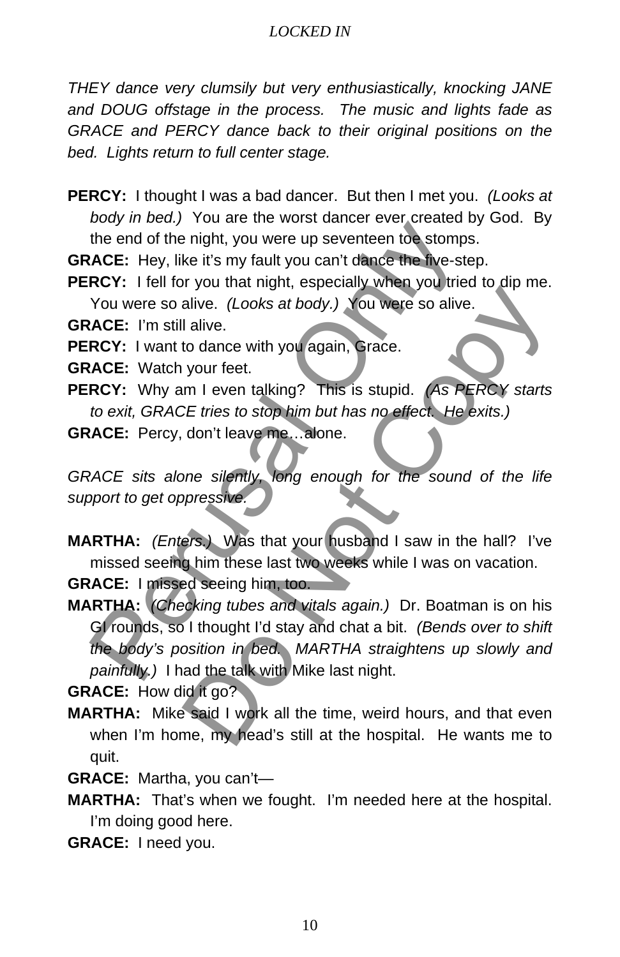*THEY dance very clumsily but very enthusiastically, knocking JANE and DOUG offstage in the process. The music and lights fade as GRACE and PERCY dance back to their original positions on the bed. Lights return to full center stage.* 

- **PERCY:** I thought I was a bad dancer. But then I met you. *(Looks at body in bed.)* You are the worst dancer ever created by God. By the end of the night, you were up seventeen toe stomps.
- **GRACE:** Hey, like it's my fault you can't dance the five-step.
- **PERCY:** I fell for you that night, especially when you tried to dip me. You were so alive. *(Looks at body.)* You were so alive.
- **GRACE:** I'm still alive.
- **PERCY:** I want to dance with you again, Grace.
- **GRACE:** Watch your feet.
- **PERCY:** Why am I even talking? This is stupid. *(As PERCY starts to exit, GRACE tries to stop him but has no effect. He exits.)*

**GRACE:** Percy, don't leave me…alone.

GRACE sits alone silently, long enough for the sound of the life *support to get oppressive.*

**MARTHA:** *(Enters.)* Was that your husband I saw in the hall? I've missed seeing him these last two weeks while I was on vacation.

**GRACE:** I missed seeing him, too.

**MARTHA:** *(Checking tubes and vitals again.)* Dr. Boatman is on his GI rounds, so I thought I'd stay and chat a bit. *(Bends over to shift the body's position in bed. MARTHA straightens up slowly and painfully.)* I had the talk with Mike last night. the end of the highly, you were up severate too stomps<br>
the end of the highly you were up severate too stomps<br>
ACE: Hey, like it's my fault you can't dance the five-ste<br>
RCY: I fell for you that night, especially when you Alive. (Looks at body.) You were so alive.<br>
I alive. (Looks at body.) You were so alive.<br>
I alive. (Looks at body.) You were so alive.<br>
I alive.<br>
to dance with you again, Grace.<br>
your feet.<br>
your feet.<br>
I even talking? Thi

**GRACE:** How did it go?

- **MARTHA:** Mike said I work all the time, weird hours, and that even when I'm home, my head's still at the hospital. He wants me to quit.
- **GRACE:** Martha, you can't—
- **MARTHA:** That's when we fought. I'm needed here at the hospital. I'm doing good here.
- **GRACE:** I need you.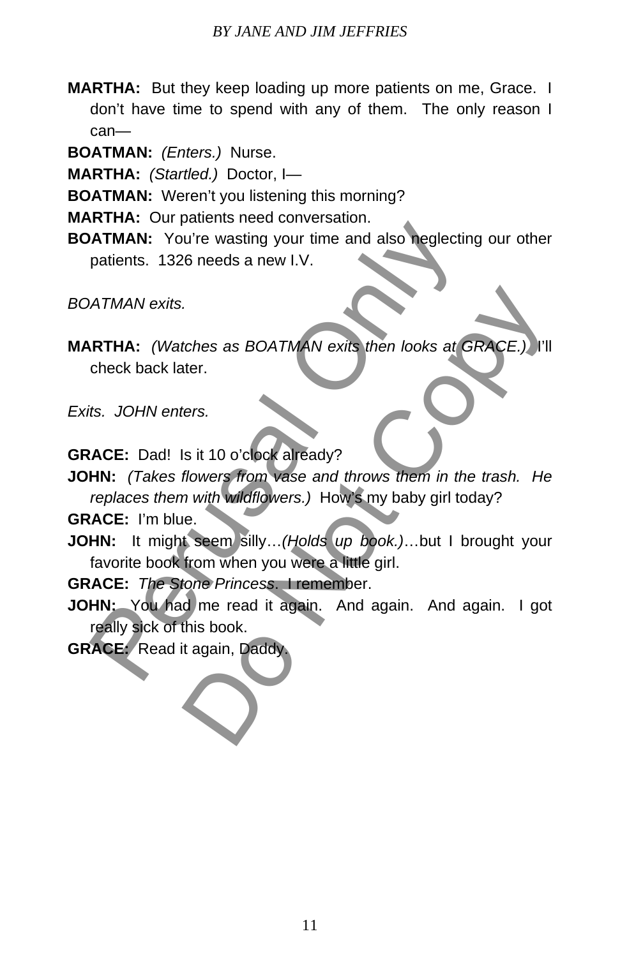**MARTHA:** But they keep loading up more patients on me, Grace. I don't have time to spend with any of them. The only reason I can—

**BOATMAN:** *(Enters.)* Nurse.

**MARTHA:** *(Startled.)* Doctor, I—

**BOATMAN:** Weren't you listening this morning?

**MARTHA:** Our patients need conversation.

**BOATMAN:** You're wasting your time and also neglecting our other patients. 1326 needs a new I.V.

*BOATMAN exits.*

**MARTHA:** *(Watches as BOATMAN exits then looks at GRACE.)* I'll check back later. **EXECUTE THANNET SET AND ATTAINMENT CONSUMING ATTAIN SATTAIN:** You're wasting your time and also neglectin patients. 1326 needs a new I.V.<br>
ATTAIN: (Watches as BOATMAN exits then looks at G<br>
check back later.<br>
15. JOHN ent tches as BOATMAN exits then looks at GRACE.) I'll<br>ter.<br>ters.<br>Si it 10 o'clock already?<br>flowers from vase and throws them in the trash. He<br>n with wildflowers.) How's my baby girl today?<br>e.<br>t seem silly...(Holds up book.)...

*Exits. JOHN enters.*

**GRACE:** Dad! Is it 10 o'clock already?

**JOHN:** *(Takes flowers from vase and throws them in the trash. He replaces them with wildflowers.)* How's my baby girl today?

**GRACE:** I'm blue.

**JOHN:** It might seem silly…*(Holds up book.)*…but I brought your favorite book from when you were a little girl.

**GRACE:** *The Stone Princess*. I remember.

**JOHN:** You had me read it again. And again. And again. I got really sick of this book.

**GRACE:** Read it again, Daddy.